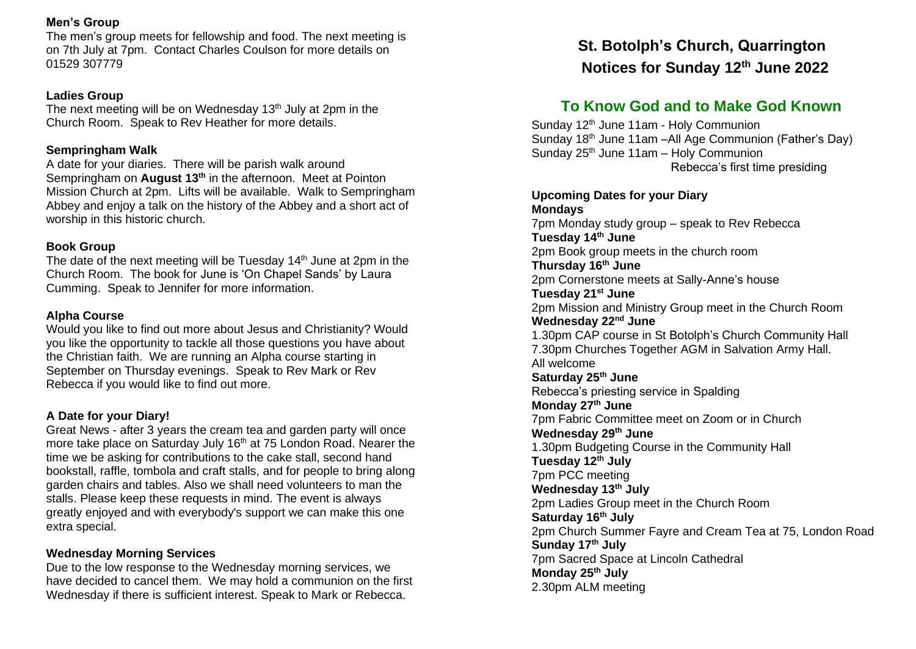#### **Men's Group**

The men's group meets for fellowship and food. The next meeting is on 7th July at 7pm. Contact Charles Coulson for more details on 01529 307779

#### **Ladies Group**

The next meeting will be on Wednesday  $13<sup>th</sup>$  July at 2pm in the Church Room. Speak to Rev Heather for more details.

## **Sempringham Walk**

A date for your diaries. There will be parish walk around Sempringham on **August 13th** in the afternoon. Meet at Pointon Mission Church at 2pm. Lifts will be available. Walk to Sempringham Abbey and enjoy a talk on the history of the Abbey and a short act of worship in this historic church.

#### **Book Group**

The date of the next meeting will be Tuesday  $14<sup>th</sup>$  June at 2pm in the Church Room. The book for June is 'On Chapel Sands' by Laura Cumming. Speak to Jennifer for more information.

## **Alpha Course**

Would you like to find out more about Jesus and Christianity? Would you like the opportunity to tackle all those questions you have about the Christian faith. We are running an Alpha course starting in September on Thursday evenings. Speak to Rev Mark or Rev Rebecca if you would like to find out more.

## **A Date for your Diary!**

Great News - after 3 years the cream tea and garden party will once more take place on Saturday July 16<sup>th</sup> at 75 London Road. Nearer the time we be asking for contributions to the cake stall, second hand bookstall, raffle, tombola and craft stalls, and for people to bring along garden chairs and tables. Also we shall need volunteers to man the stalls. Please keep these requests in mind. The event is always greatly enjoyed and with everybody's support we can make this one extra special.

## **Wednesday Morning Services**

Due to the low response to the Wednesday morning services, we have decided to cancel them. We may hold a communion on the first Wednesday if there is sufficient interest. Speak to Mark or Rebecca.

# **St. Botolph's Church, Quarrington Notices for Sunday 12th June 2022**

## **To Know God and to Make God Known**

Sunday 12<sup>th</sup> June 11am - Holy Communion Sunday 18th June 11am –All Age Communion (Father's Day) Sunday 25<sup>th</sup> June 11am - Holy Communion Rebecca's first time presiding

## **Upcoming Dates for your Diary Mondays**

7pm Monday study group – speak to Rev Rebecca **Tuesday 14th June** 2pm Book group meets in the church room **Thursday 16th June** 2pm Cornerstone meets at Sally-Anne's house **Tuesday 21st June** 2pm Mission and Ministry Group meet in the Church Room **Wednesday 22nd June** 1.30pm CAP course in St Botolph's Church Community Hall 7.30pm Churches Together AGM in Salvation Army Hall. All welcome **Saturday 25th June** Rebecca's priesting service in Spalding **Monday 27th June** 7pm Fabric Committee meet on Zoom or in Church **Wednesday 29th June** 1.30pm Budgeting Course in the Community Hall **Tuesday 12th July** 7pm PCC meeting **Wednesday 13th July**  2pm Ladies Group meet in the Church Room **Saturday 16th July** 2pm Church Summer Fayre and Cream Tea at 75, London Road **Sunday 17th July** 7pm Sacred Space at Lincoln Cathedral **Monday 25th July** 2.30pm ALM meeting